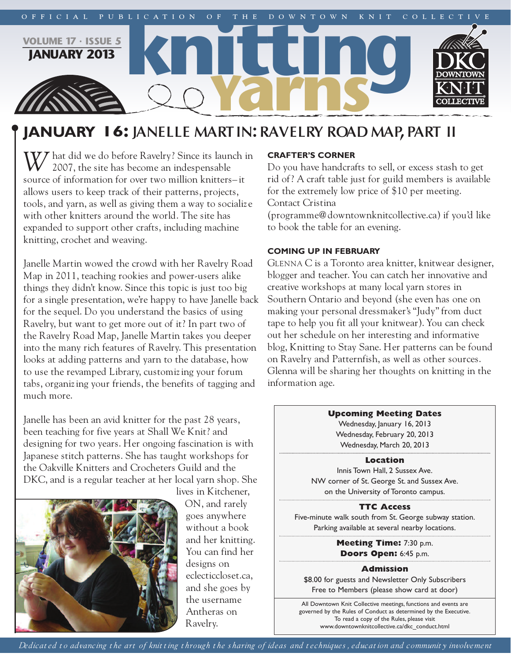

# **january 16: JANELLE MARTIN:RAVELRY ROAD MAP,PART II**

*W/* hat did we do before Ravelry? Since its launch in 2007, the site has become an indespensable source of information for over two million knitters– it allows users to keep track of their patterns, projects, tools, and yarn, as well as giving them a way to socializ e with other knitters around the world. The site has expanded to support other crafts, including machine knitting, crochet and weaving.

Janelle Martin wowed the crowd with her Ravelry Road Map in 2011, teaching rookies and power-users alike things they didn't know. Since this topic is just too big for a single presentation, we're happy to have Janelle back for the sequel. Do you understand the basics of using Ravelry, but want to get more out of it? In part two of the Ravelry Road Map, Janelle Martin takes you deeper into the many rich features of Ravelry. This presentation looks at adding patterns and yarn to the database, how to use the revamped Library, customizing your forum tabs, organizing your friends, the benefits of tagging and much more.

Janelle has been an avid knitter for the past 28 years, been teaching for five years at Shall We Knit? and designing for two years. Her ongoing fascination is with Japanese stitch patterns. She has taught workshops for the Oakville Knitters and Crocheters Guild and the DKC, and is a regular teacher at her local yarn shop. She



lives in Kitchener, ON, and rarely goes anywhere without a book and her knitting. You can find her designs on eclecticcloset.ca, and she goes by the username Antheras on Ravelry.

## **Crafter's Corner**

Do you have handcrafts to sell, or excess stash to get rid of? A craft table just for guild members is available for the extremely low price of \$10 per meeting. Contact Cristina

(programme@downtownknitcollective.ca) if you'd like to book the table for an evening.

## **Coming up in february**

GLENNA C is a Toronto area knitter, knitwear designer, blogger and teacher. You can catch her innovative and creative workshops at many local yarn stores in Southern Ontario and beyond (she even has one on making your personal dressmaker's "Judy" from duct tape to help you fit all your knitwear). You can check out her schedule on her interesting and informative blog, Knitting to Stay Sane. Her patterns can be found on Ravelry and Patternfish, as well as other sources. Glenna will be sharing her thoughts on knitting in the information age.



Wednesday, January 16, 2013 Wednesday, February 20, 2013 Wednesday, March 20, 2013

## **Location**

Innis Town Hall, 2 Sussex Ave. NW corner of St. George St. and Sussex Ave. on the University of Toronto campus.

## **TTC Access**

Five-minute walk south from St. George subway station. Parking available at several nearby locations.

> **Meeting Time:** 7:30 p.m. **Doors Open:** 6:45 p.m.

## **Admission**

\$8.00 for guests and Newsletter Only Subscribers Free to Members (please show card at door)

All Downtown Knit Collective meetings, functions and events are governed by the Rules of Conduct as determined by the Executive. To read a copy of the Rules, please visit www.downtownknitcollective.ca/dkc\_conduct.html

Dedicated to advancing the art of knitting through the sharing of ideas and techniques, education and community involvement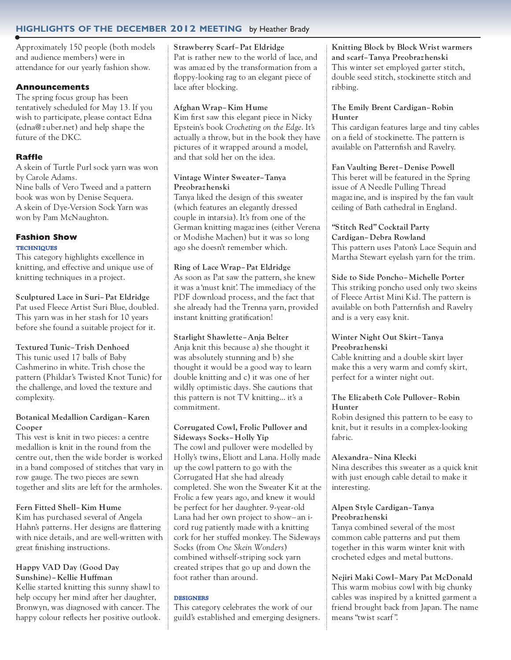## **highlights of the deCember 2012 meeting** by Heather Brady

Approximately 150 people (both models and audience members) were in attendance for our yearly fashion show.

## **Announcements**

The spring focus group has been tentatively scheduled for May 13. If you wish to participate, please contact Edna (edna@z uber.net) and help shape the future of the DKC.

## **Raffle**

A skein of Turtle Purl sock yarn was won by Carole Adams.

Nine balls of Vero Tweed and a pattern book was won by Denise Sequera. A skein of Dye-Version Sock Yarn was won by Pam McNaughton.

## **Fashion Show TECHNIQUES**

This category highlights excellence in knitting, and effective and unique use of knitting techniques in a project.

## **Sculptured Lace in Suri–Pat Eldridge**

Pat used Fleece Artist Suri Blue, doubled. This yarn was in her stash for 10 years before she found a suitable project for it.

## **Textured Tunic–Trish Denhoed**

This tunic used 17 balls of Baby Cashmerino in white. Trish chose the pattern (Phildar's Twisted Knot Tunic) for the challenge, and loved the texture and complexity.

## **Botanical Medallion Cardigan–Karen Cooper**

This vest is knit in two pieces: a centre medallion is knit in the round from the centre out, then the wide border is worked in a band composed of stitches that vary in row gauge. The two pieces are sewn together and slits are left for the armholes.

## **Fern Fitted Shell–Kim Hume**

Kim has purchased several of Angela Hahn's patterns. Her designs are flattering with nice details, and are well-written with great finishing instructions.

## **Happy VAD Day (Good Day Sunshine)–Kellie Huffman**

Kellie started knitting this sunny shawl to help occupy her mind after her daughter, Bronwyn, was diagnosed with cancer. The happy colour reflects her positive outlook.

#### **Strawberry Scarf–Pat Eldridge**

Pat is rather new to the world of lace, and was amaz ed by the transformation from a floppy-looking rag to an elegant piece of lace after blocking.

## **Afghan Wrap–Kim Hume**

Kim first saw this elegant piece in Nicky Epstein's book *Crocheting on the Edge*. It's actually a throw, but in the book they have pictures of it wrapped around a model, and that sold her on the idea.

## **Vintage Winter Sweater–Tanya Preobrazhenski**

Tanya liked the design of this sweater (which features an elegantly dressed couple in intarsia). It's from one of the German knitting magazines (either Verena or Modishe Machen) but it was so long ago she doesn't remember which.

## **Ring of Lace Wrap–Pat Eldridge**

As soon as Pat saw the pattern, she knew it was a 'must knit'. The immediacy of the PDF download process, and the fact that she already had the Trenna yarn, provided instant knitting gratification!

## **Starlight Shawlette–Anja Belter**

Anja knit this because a) she thought it was absolutely stunning and b) she thought it would be a good way to learn double knitting and c) it was one of her wildly optimistic days. She cautions that this pattern is not TV knitting... it's a commitment.

## **Corrugated Cowl, Frolic Pullover and**

**Sideways Socks–Holly Yip** The cowl and pullover were modelled by Holly's twins, Eliott and Lana. Holly made up the cowl pattern to go with the Corrugated Hat she had already completed. She won the Sweater Kit at the Frolic a few years ago, and knew it would be perfect for her daughter. 9-year-old Lana had her own project to show– an icord rug patiently made with a knitting cork for her stuffed monkey. The Sideways Socks (from *One Skein Wonders*) combined withself-striping sock yarn created stripes that go up and down the foot rather than around.

## **DESIGNERS**

This category celebrates the work of our guild's established and emerging designers. **Knitting Block by Block Wrist warmers and scarf–Tanya Preobrazhenski** This winter set employed garter stitch, double seed stitch, stockinette stitch and ribbing.

## **The Emily Brent Cardigan–Robin Hunter**

This cardigan features large and tiny cables on a field of stockinette. The pattern is available on Patternfish and Ravelry.

## **Fan Vaulting Beret–Denise Powell**

This beret will be featured in the Spring issue of A Needle Pulling Thread magazine, and is inspired by the fan vault ceiling of Bath cathedral in England.

## **"Stitch Red" Cocktail Party**

**Cardigan–Debra Rowland** This pattern uses Paton's Lace Sequin and Martha Stewart eyelash yarn for the trim.

## **Side to Side Poncho–Michelle Porter**

This striking poncho used only two skeins of Fleece Artist Mini Kid. The pattern is available on both Patternfish and Ravelry and is a very easy knit.

## **Winter Night Out Skirt–Tanya Preobrazhenski**

Cable knitting and a double skirt layer make this a very warm and comfy skirt, perfect for a winter night out.

## **The Eliz abeth Cole Pullover–Robin Hunter**

Robin designed this pattern to be easy to knit, but it results in a complex-looking fabric.

## **Alexandra–Nina Klecki**

Nina describes this sweater as a quick knit with just enough cable detail to make it interesting.

## **Alpen Style Cardigan–Tanya Preobrazhenski**

Tanya combined several of the most common cable patterns and put them together in this warm winter knit with crocheted edges and metal buttons.

**Nejiri Maki Cowl–Mary Pat McDonald** This warm mobius cowl with big chunky cables was inspired by a knitted garment a friend brought back from Japan. The name means "twist scarf".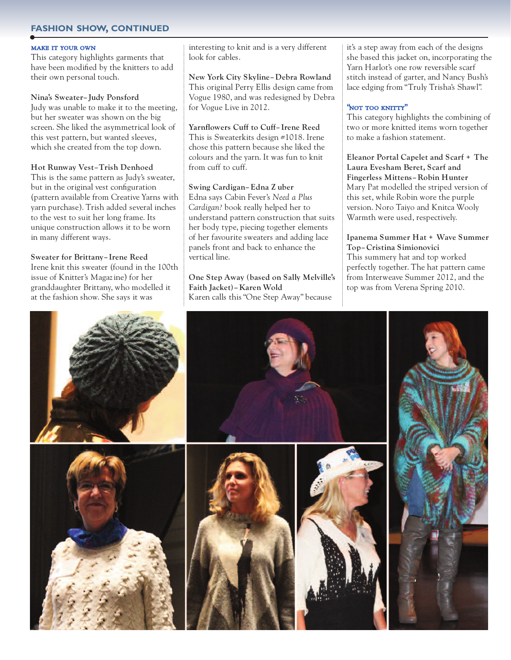## **fashion show, Continued**

#### make it your own

This category highlights garments that have been modified by the knitters to add their own personal touch.

#### **Nina's Sweater–Judy Ponsford**

Judy was unable to make it to the meeting, but her sweater was shown on the big screen. She liked the asymmetrical look of this vest pattern, but wanted sleeves, which she created from the top down.

#### **Hot Runway Vest–Trish Denhoed**

This is the same pattern as Judy's sweater, but in the original vest configuration (pattern available from Creative Yarns with yarn purchase). Trish added several inches to the vest to suit her long frame. Its unique construction allows it to be worn in many different ways.

#### **Sweater for Brittany–Irene Reed**

Irene knit this sweater (found in the 100th issue of Knitter's Magazine) for her granddaughter Brittany, who modelled it at the fashion show. She says it was

interesting to knit and is a very different look for cables.

**New York City Skyline–Debra Rowland** This original Perry Ellis design came from Vogue 1980, and was redesigned by Debra for Vogue Live in 2012.

## **Yarnflowers Cuff to Cuff–Irene Reed**

This is Sweaterkits design #1018. Irene chose this pattern because she liked the colours and the yarn. It was fun to knit from cuff to cuff.

## **Swing Cardigan–Edna Z uber**

Edna says Cabin Fever's *Need a Plus Cardigan?* book really helped her to understand pattern construction that suits her body type, piecing together elements of her favourite sweaters and adding lace panels front and back to enhance the vertical line.

**One Step Away (based on Sally Melville's Faith Jacket)–Karen Wold** Karen calls this "One Step Away" because

it's a step away from each of the designs she based this jacket on, incorporating the Yarn Harlot's one row reversible scarf stitch instead of garter, and Nancy Bush's lace edging from "Truly Trisha's Shawl".

## "not too knitty"

This category highlights the combining of two or more knitted items worn together to make a fashion statement.

**Eleanor Portal Capelet and Scarf + The Laura Evesham Beret, Scarf and Fingerless Mittens–Robin Hunter** Mary Pat modelled the striped version of this set, while Robin wore the purple version. Noro Taiyo and Knitca Wooly Warmth were used, respectively.

#### **Ipanema Summer Hat + Wave Summer Top–Cristina Simionovici**

This summery hat and top worked perfectly together. The hat pattern came from Interweave Summer 2012, and the top was from Verena Spring 2010.